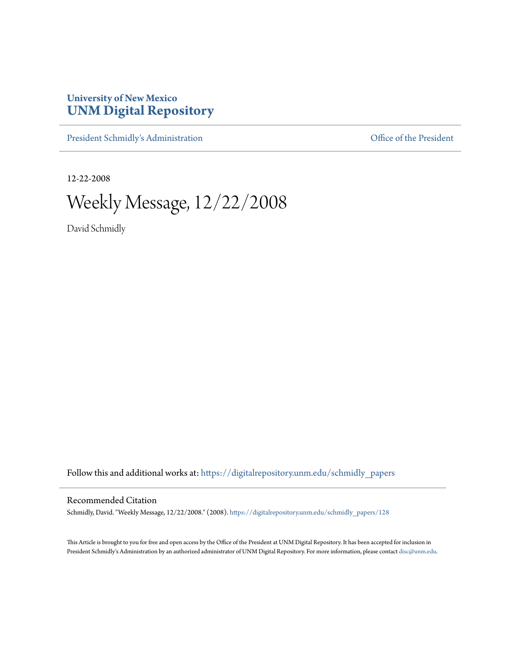## **University of New Mexico [UNM Digital Repository](https://digitalrepository.unm.edu?utm_source=digitalrepository.unm.edu%2Fschmidly_papers%2F128&utm_medium=PDF&utm_campaign=PDFCoverPages)**

[President Schmidly's Administration](https://digitalrepository.unm.edu/schmidly_papers?utm_source=digitalrepository.unm.edu%2Fschmidly_papers%2F128&utm_medium=PDF&utm_campaign=PDFCoverPages) [Office of the President](https://digitalrepository.unm.edu/ofc_president?utm_source=digitalrepository.unm.edu%2Fschmidly_papers%2F128&utm_medium=PDF&utm_campaign=PDFCoverPages)

12-22-2008

Weekly Message, 12/22/2008

David Schmidly

Follow this and additional works at: [https://digitalrepository.unm.edu/schmidly\\_papers](https://digitalrepository.unm.edu/schmidly_papers?utm_source=digitalrepository.unm.edu%2Fschmidly_papers%2F128&utm_medium=PDF&utm_campaign=PDFCoverPages)

## Recommended Citation

Schmidly, David. "Weekly Message, 12/22/2008." (2008). [https://digitalrepository.unm.edu/schmidly\\_papers/128](https://digitalrepository.unm.edu/schmidly_papers/128?utm_source=digitalrepository.unm.edu%2Fschmidly_papers%2F128&utm_medium=PDF&utm_campaign=PDFCoverPages)

This Article is brought to you for free and open access by the Office of the President at UNM Digital Repository. It has been accepted for inclusion in President Schmidly's Administration by an authorized administrator of UNM Digital Repository. For more information, please contact [disc@unm.edu](mailto:disc@unm.edu).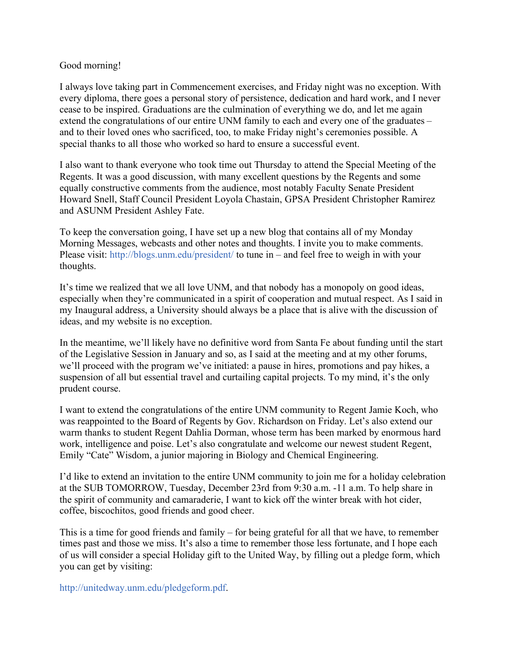## Good morning!

I always love taking part in Commencement exercises, and Friday night was no exception. With every diploma, there goes a personal story of persistence, dedication and hard work, and I never cease to be inspired. Graduations are the culmination of everything we do, and let me again extend the congratulations of our entire UNM family to each and every one of the graduates – and to their loved ones who sacrificed, too, to make Friday night's ceremonies possible. A special thanks to all those who worked so hard to ensure a successful event.

I also want to thank everyone who took time out Thursday to attend the Special Meeting of the Regents. It was a good discussion, with many excellent questions by the Regents and some equally constructive comments from the audience, most notably Faculty Senate President Howard Snell, Staff Council President Loyola Chastain, GPSA President Christopher Ramirez and ASUNM President Ashley Fate.

To keep the conversation going, I have set up a new blog that contains all of my Monday Morning Messages, webcasts and other notes and thoughts. I invite you to make comments. Please visit: http://blogs.unm.edu/president/ to tune in – and feel free to weigh in with your thoughts.

It's time we realized that we all love UNM, and that nobody has a monopoly on good ideas, especially when they're communicated in a spirit of cooperation and mutual respect. As I said in my Inaugural address, a University should always be a place that is alive with the discussion of ideas, and my website is no exception.

In the meantime, we'll likely have no definitive word from Santa Fe about funding until the start of the Legislative Session in January and so, as I said at the meeting and at my other forums, we'll proceed with the program we've initiated: a pause in hires, promotions and pay hikes, a suspension of all but essential travel and curtailing capital projects. To my mind, it's the only prudent course.

I want to extend the congratulations of the entire UNM community to Regent Jamie Koch, who was reappointed to the Board of Regents by Gov. Richardson on Friday. Let's also extend our warm thanks to student Regent Dahlia Dorman, whose term has been marked by enormous hard work, intelligence and poise. Let's also congratulate and welcome our newest student Regent, Emily "Cate" Wisdom, a junior majoring in Biology and Chemical Engineering.

I'd like to extend an invitation to the entire UNM community to join me for a holiday celebration at the SUB TOMORROW, Tuesday, December 23rd from 9:30 a.m. -11 a.m. To help share in the spirit of community and camaraderie, I want to kick off the winter break with hot cider, coffee, biscochitos, good friends and good cheer.

This is a time for good friends and family – for being grateful for all that we have, to remember times past and those we miss. It's also a time to remember those less fortunate, and I hope each of us will consider a special Holiday gift to the United Way, by filling out a pledge form, which you can get by visiting:

http://unitedway.unm.edu/pledgeform.pdf.